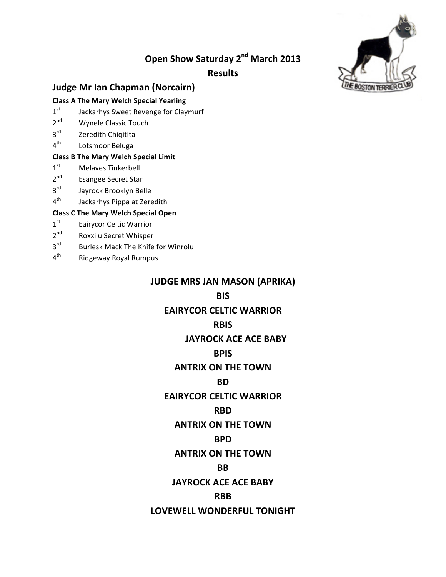# **Open Show Saturday 2<sup>nd</sup> March 2013**

**Results**



## **Judge Mr Ian Chapman (Norcairn)**

### **Class A The Mary Welch Special Yearling**

- $1<sup>st</sup>$  Jackarhys Sweet Revenge for Claymurf
- 2<sup>nd</sup> Wynele Classic Touch
- 3rd Zeredith Chiqitita
- 4<sup>th</sup> Lotsmoor Beluga

#### **Class B The Mary Welch Special Limit**

- $1<sup>st</sup>$  Melaves Tinkerbell
- 2<sup>nd</sup> Esangee Secret Star
- 3rd Jayrock Brooklyn Belle
- 4<sup>th</sup> Jackarhys Pippa at Zeredith

### **Class C The Mary Welch Special Open**

- 1st Eairycor Celtic Warrior
- 2<sup>nd</sup> Roxxilu Secret Whisper
- $3<sup>rd</sup>$  Burlesk Mack The Knife for Winrolu
- 4<sup>th</sup> Ridgeway Royal Rumpus

## **JUDGE MRS JAN MASON (APRIKA)**

## **BIS**

## **EAIRYCOR%CELTIC%WARRIOR**

## **RBIS**

## **JAYROCK ACE ACE BABY**

## **BPIS**

## **ANTRIX ON THE TOWN**

## **BD**

## **EAIRYCOR CELTIC WARRIOR**

## **RBD**

## **ANTRIX ON THE TOWN**

## **BPD**

## **ANTRIX ON THE TOWN**

## **BB**

## **JAYROCK ACE ACE BABY**

## **RBB**

## LOVEWELL WONDERFUL TONIGHT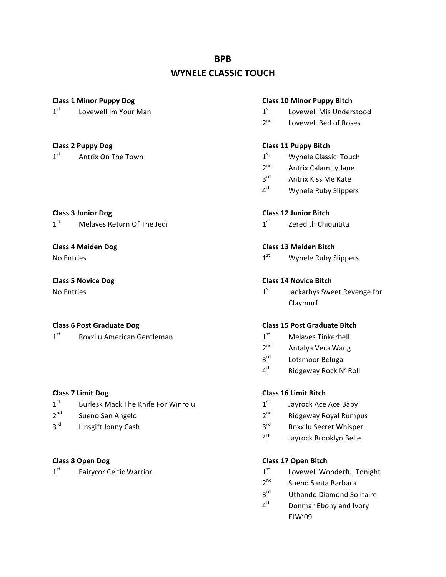## **BPB**

## **WYNELE CLASSIC TOUCH**

 $1<sup>st</sup>$  Antrix On The Town 2st Mynele Classic Touch

**Class%3%Junior%Dog Class%12%Junior%Bitch**  $1<sup>st</sup>$  Melaves Return Of The Jedi  $1<sup>st</sup>$  Zeredith Chiquitita

 $1<sup>st</sup>$  Roxxilu American Gentleman 1st Melaves Tinkerbell

- $1<sup>st</sup>$  Burlesk Mack The Knife For Winrolu  $1<sup>st</sup>$  Jayrock Ace Ace Baby
- 
- 

#### **Class%1%Minor%Puppy%Dog Class%10%Minor%Puppy%Bitch**

- $1<sup>st</sup>$  Lovewell Im Your Man 1st Lovewell Mis Understood
	- $2^{nd}$  Lovewell Bed of Roses

### **Class%2%Puppy%Dog Class%11%Puppy%Bitch**

- 
- 2<sup>nd</sup> Antrix Calamity Jane
- 3<sup>rd</sup> Antrix Kiss Me Kate
- 4<sup>th</sup> Wynele Ruby Slippers

### **Class%4%Maiden%Dog Class%13%Maiden%Bitch**

No Entries  $1^{st}$  Wynele Ruby Slippers

### **Class%5%Novice%Dog Class%14%Novice%Bitch**

No Entries 1st  $1^{st}$  Jackarhys Sweet Revenge for Claymurf

### **Class%6%Post%Graduate%Dog Class%15%Post%Graduate%Bitch**

- 
- 2<sup>nd</sup> Antalya Vera Wang
- 3<sup>rd</sup> Lotsmoor Beluga
- 4<sup>th</sup> Ridgeway Rock N' Roll

#### **Class%7%Limit%Dog Class%16%Limit%Bitch**

- 
- $2^{nd}$  Sueno San Angelo 2nd Ridgeway Royal Rumpus
- $3<sup>rd</sup>$  Linsgift Jonny Cash  $3<sup>rd</sup>$  Roxxilu Secret Whisper
	- 4<sup>th</sup> Jayrock Brooklyn Belle

#### **Class 8%Open%Dog Class%17%Open%Bitch**

- $1<sup>st</sup>$  Eairycor Celtic Warrior 1st Lovewell Wonderful Tonight
	- 2<sup>nd</sup> Sueno Santa Barbara
	- 3<sup>rd</sup> Uthando Diamond Solitaire
	- 4<sup>th</sup> Donmar Ebony and Ivory EJW'09